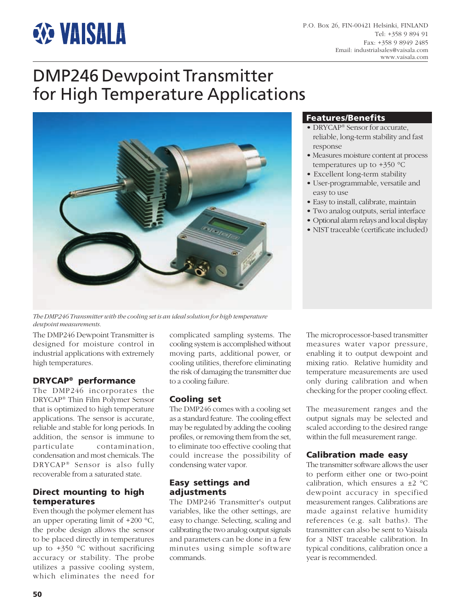# **EXE VAISALA**

# DMP246 Dewpoint Transmitter for High Temperature Applications



## **Features/Benefits**

- DRYCAP® Sensor for accurate, reliable, long-term stability and fast response
- Measures moisture content at process temperatures up to  $+350$  °C
- Excellent long-term stability
- User-programmable, versatile and easy to use
- Easy to install, calibrate, maintain
- Two analog outputs, serial interface
- Optional alarm relays and local display
- NIST traceable (certificate included)

*The DMP246 Transmitter with the cooling set is an ideal solution for high temperature dewpoint measurements.*

The DMP246 Dewpoint Transmitter is designed for moisture control in industrial applications with extremely high temperatures.

# **DRYCAP® performance**

The DMP246 incorporates the DRYCAP® Thin Film Polymer Sensor that is optimized to high temperature applications. The sensor is accurate, reliable and stable for long periods. In addition, the sensor is immune to particulate contamination, condensation and most chemicals. The DRYCAP® Sensor is also fully recoverable from a saturated state.

## **Direct mounting to high temperatures**

Even though the polymer element has an upper operating limit of +200 °C, the probe design allows the sensor to be placed directly in temperatures up to +350 °C without sacrificing accuracy or stability. The probe utilizes a passive cooling system, which eliminates the need for

complicated sampling systems. The cooling system is accomplished without moving parts, additional power, or cooling utilities, therefore eliminating the risk of damaging the transmitter due to a cooling failure.

## **Cooling set**

The DMP246 comes with a cooling set as a standard feature. The cooling effect may be regulated by adding the cooling profiles, or removing them from the set, to eliminate too effective cooling that could increase the possibility of condensing water vapor.

## **Easy settings and adjustments**

The DMP246 Transmitter's output variables, like the other settings, are easy to change. Selecting, scaling and calibrating the two analog output signals and parameters can be done in a few minutes using simple software commands.

The microprocessor-based transmitter measures water vapor pressure, enabling it to output dewpoint and mixing ratio. Relative humidity and temperature measurements are used only during calibration and when checking for the proper cooling effect.

The measurement ranges and the output signals may be selected and scaled according to the desired range within the full measurement range.

# **Calibration made easy**

The transmitter software allows the user to perform either one or two-point calibration, which ensures a  $\pm 2$  °C dewpoint accuracy in specified measurement ranges. Calibrations are made against relative humidity references (e.g. salt baths). The transmitter can also be sent to Vaisala for a NIST traceable calibration. In typical conditions, calibration once a year is recommended.